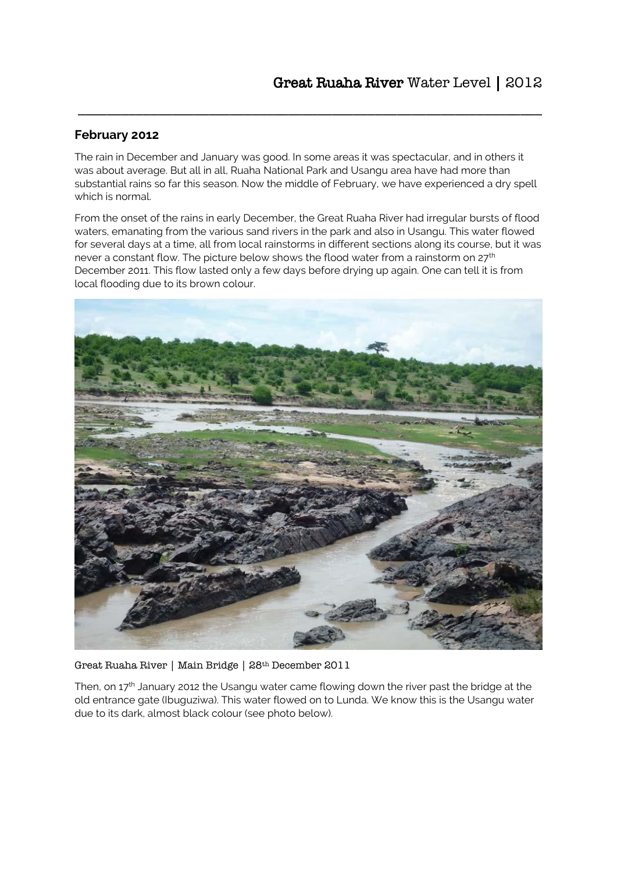# **February 2012**

The rain in December and January was good. In some areas it was spectacular, and in others it was about average. But all in all, Ruaha National Park and Usangu area have had more than substantial rains so far this season. Now the middle of February, we have experienced a dry spell which is normal.

\_\_\_\_\_\_\_\_\_\_\_\_\_\_\_\_\_\_\_\_\_\_\_\_\_\_\_\_\_\_\_\_\_\_\_\_\_\_\_\_\_\_\_\_\_\_\_\_\_\_\_\_\_\_\_\_\_\_\_\_\_\_\_\_

From the onset of the rains in early December, the Great Ruaha River had irregular bursts of flood waters, emanating from the various sand rivers in the park and also in Usangu. This water flowed for several days at a time, all from local rainstorms in different sections along its course, but it was never a constant flow. The picture below shows the flood water from a rainstorm on 27<sup>th</sup> December 2011. This flow lasted only a few days before drying up again. One can tell it is from local flooding due to its brown colour.



Great Ruaha River | Main Bridge | 28th December 2011

Then, on  $17<sup>th</sup>$  January 2012 the Usangu water came flowing down the river past the bridge at the old entrance gate (Ibuguziwa). This water flowed on to Lunda. We know this is the Usangu water due to its dark, almost black colour (see photo below).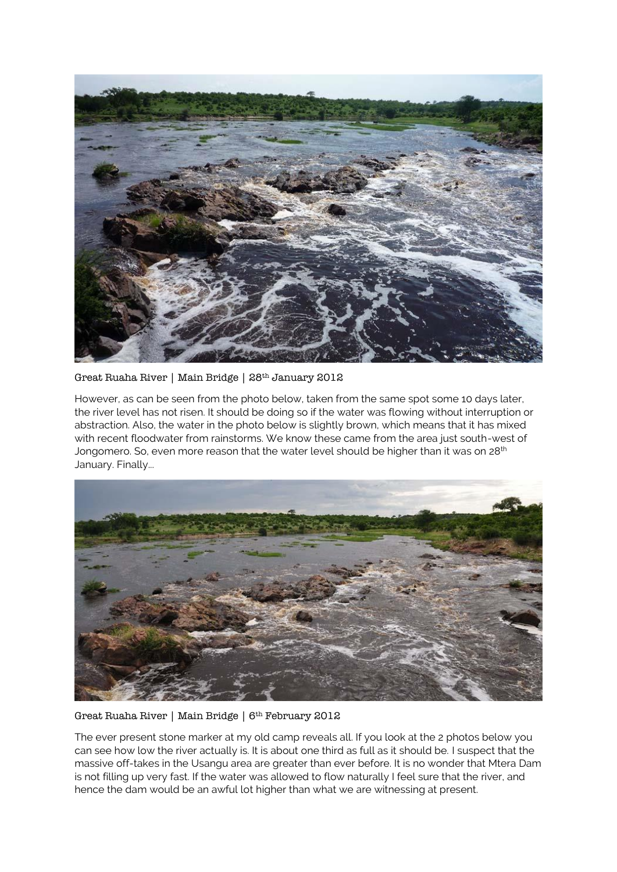

Great Ruaha River | Main Bridge | 28th January 2012

However, as can be seen from the photo below, taken from the same spot some 10 days later, the river level has not risen. It should be doing so if the water was flowing without interruption or abstraction. Also, the water in the photo below is slightly brown, which means that it has mixed with recent floodwater from rainstorms. We know these came from the area just south-west of Jongomero. So, even more reason that the water level should be higher than it was on 28<sup>th</sup> January. Finally...



Great Ruaha River | Main Bridge | 6th February 2012

The ever present stone marker at my old camp reveals all. If you look at the 2 photos below you can see how low the river actually is. It is about one third as full as it should be. I suspect that the massive off-takes in the Usangu area are greater than ever before. It is no wonder that Mtera Dam is not filling up very fast. If the water was allowed to flow naturally I feel sure that the river, and hence the dam would be an awful lot higher than what we are witnessing at present.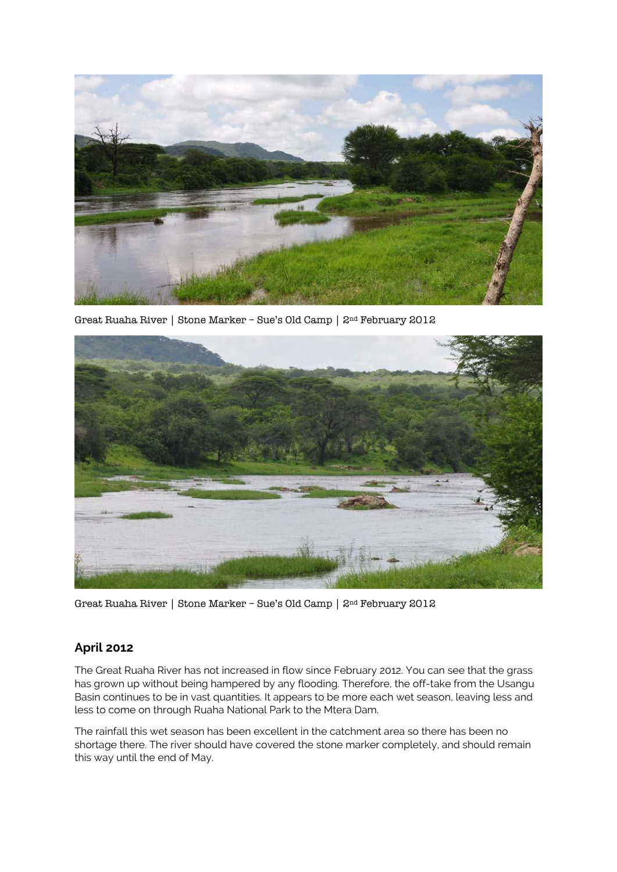

Great Ruaha River | Stone Marker – Sue's Old Camp | 2nd February 2012



Great Ruaha River | Stone Marker – Sue's Old Camp | 2nd February 2012

## **April 2012**

The Great Ruaha River has not increased in flow since February 2012. You can see that the grass has grown up without being hampered by any flooding. Therefore, the off-take from the Usangu Basin continues to be in vast quantities. It appears to be more each wet season, leaving less and less to come on through Ruaha National Park to the Mtera Dam.

The rainfall this wet season has been excellent in the catchment area so there has been no shortage there. The river should have covered the stone marker completely, and should remain this way until the end of May.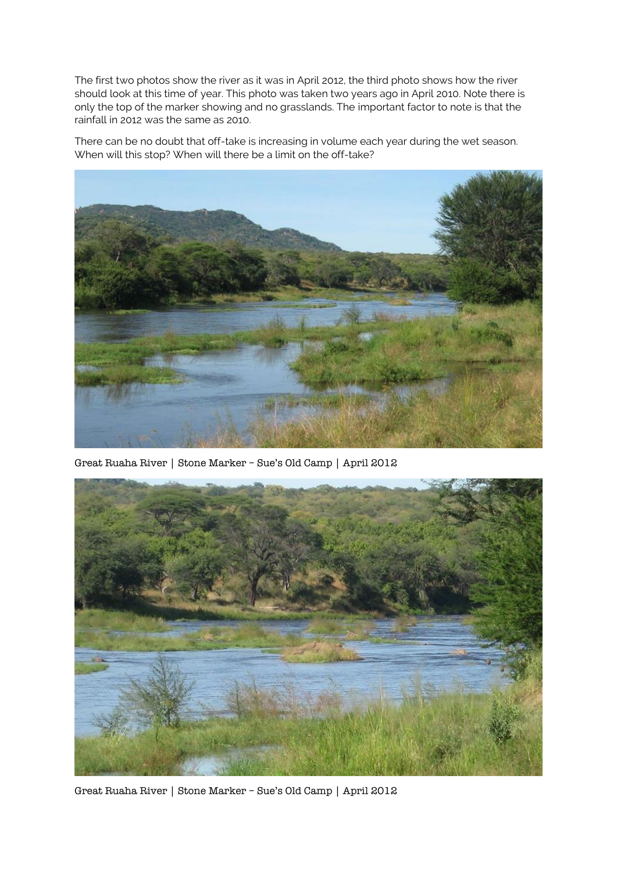The first two photos show the river as it was in April 2012, the third photo shows how the river should look at this time of year. This photo was taken two years ago in April 2010. Note there is only the top of the marker showing and no grasslands. The important factor to note is that the rainfall in 2012 was the same as 2010.

There can be no doubt that off-take is increasing in volume each year during the wet season. When will this stop? When will there be a limit on the off-take?



Great Ruaha River | Stone Marker – Sue's Old Camp | April 2012



Great Ruaha River | Stone Marker – Sue's Old Camp | April 2012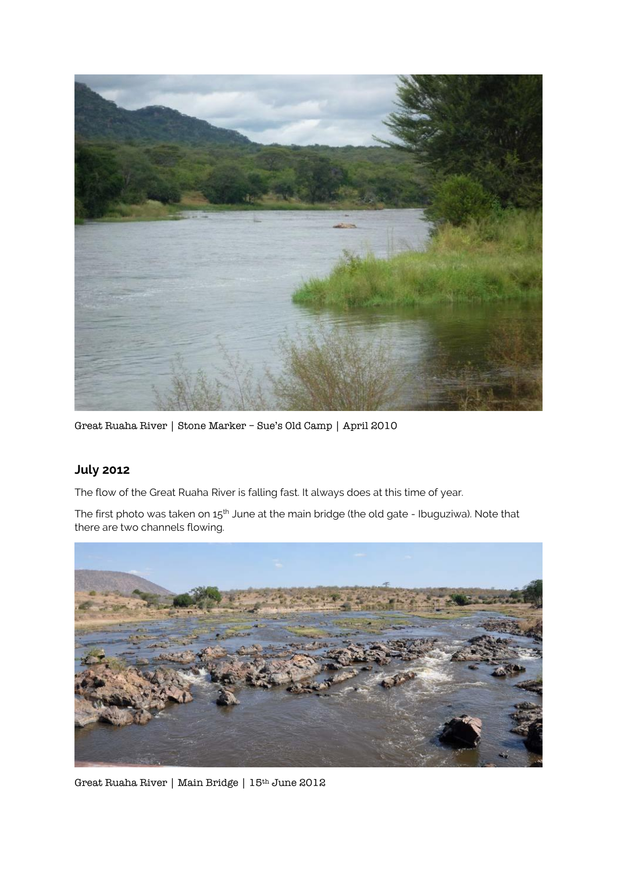

Great Ruaha River | Stone Marker – Sue's Old Camp | April 2010

# **July 2012**

The flow of the Great Ruaha River is falling fast. It always does at this time of year.

The first photo was taken on 15<sup>th</sup> June at the main bridge (the old gate - Ibuguziwa). Note that there are two channels flowing.



Great Ruaha River | Main Bridge | 15th June 2012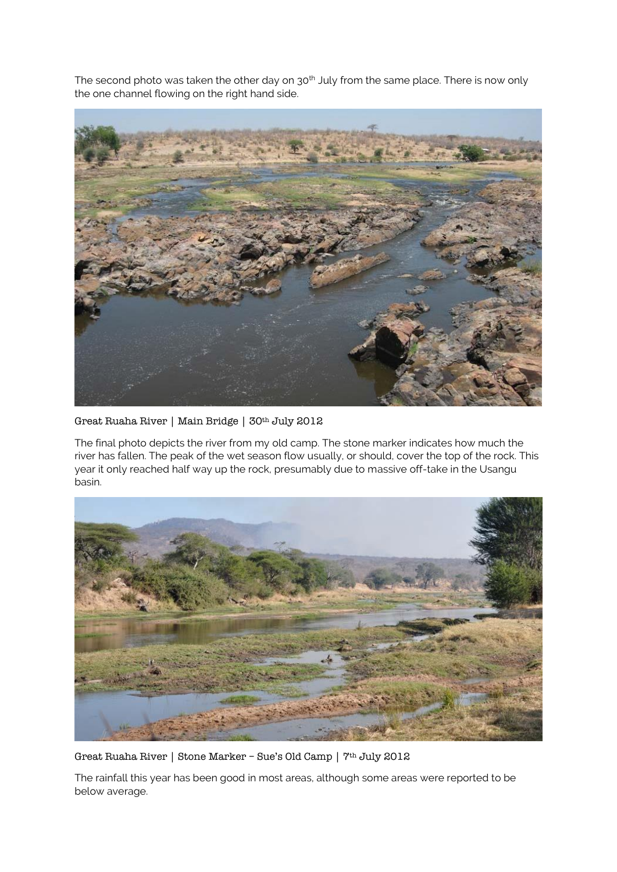The second photo was taken the other day on 30<sup>th</sup> July from the same place. There is now only the one channel flowing on the right hand side.



#### Great Ruaha River | Main Bridge | 30th July 2012

The final photo depicts the river from my old camp. The stone marker indicates how much the river has fallen. The peak of the wet season flow usually, or should, cover the top of the rock. This year it only reached half way up the rock, presumably due to massive off-take in the Usangu basin.



Great Ruaha River | Stone Marker – Sue's Old Camp | 7th July 2012

The rainfall this year has been good in most areas, although some areas were reported to be below average.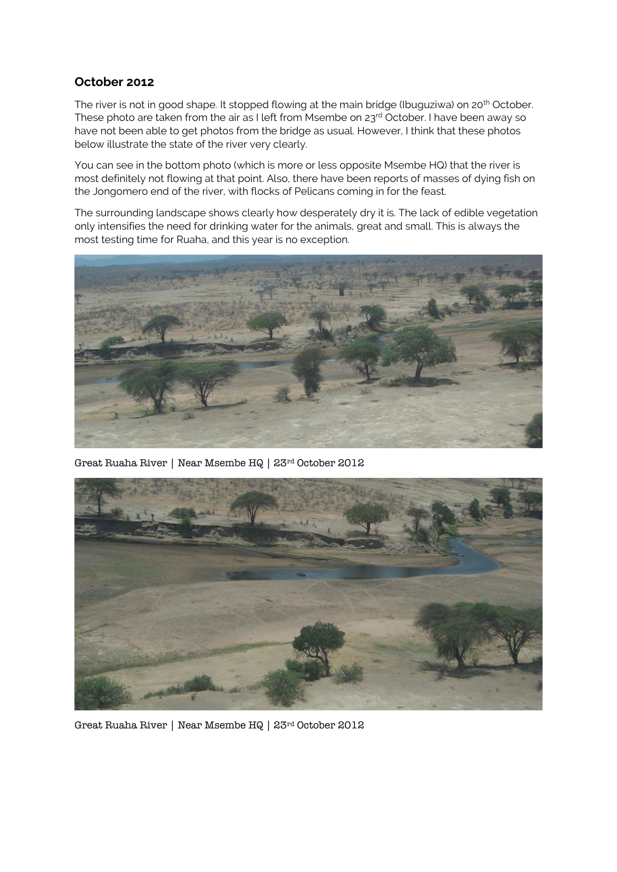# **October 2012**

The river is not in good shape. It stopped flowing at the main bridge (Ibuguziwa) on 20<sup>th</sup> October. These photo are taken from the air as I left from Msembe on 23rd October. I have been away so have not been able to get photos from the bridge as usual. However, I think that these photos below illustrate the state of the river very clearly.

You can see in the bottom photo (which is more or less opposite Msembe HQ) that the river is most definitely not flowing at that point. Also, there have been reports of masses of dying fish on the Jongomero end of the river, with flocks of Pelicans coming in for the feast.

The surrounding landscape shows clearly how desperately dry it is. The lack of edible vegetation only intensifies the need for drinking water for the animals, great and small. This is always the most testing time for Ruaha, and this year is no exception.



Great Ruaha River | Near Msembe HQ | 23rd October 2012



Great Ruaha River | Near Msembe HQ | 23rd October 2012